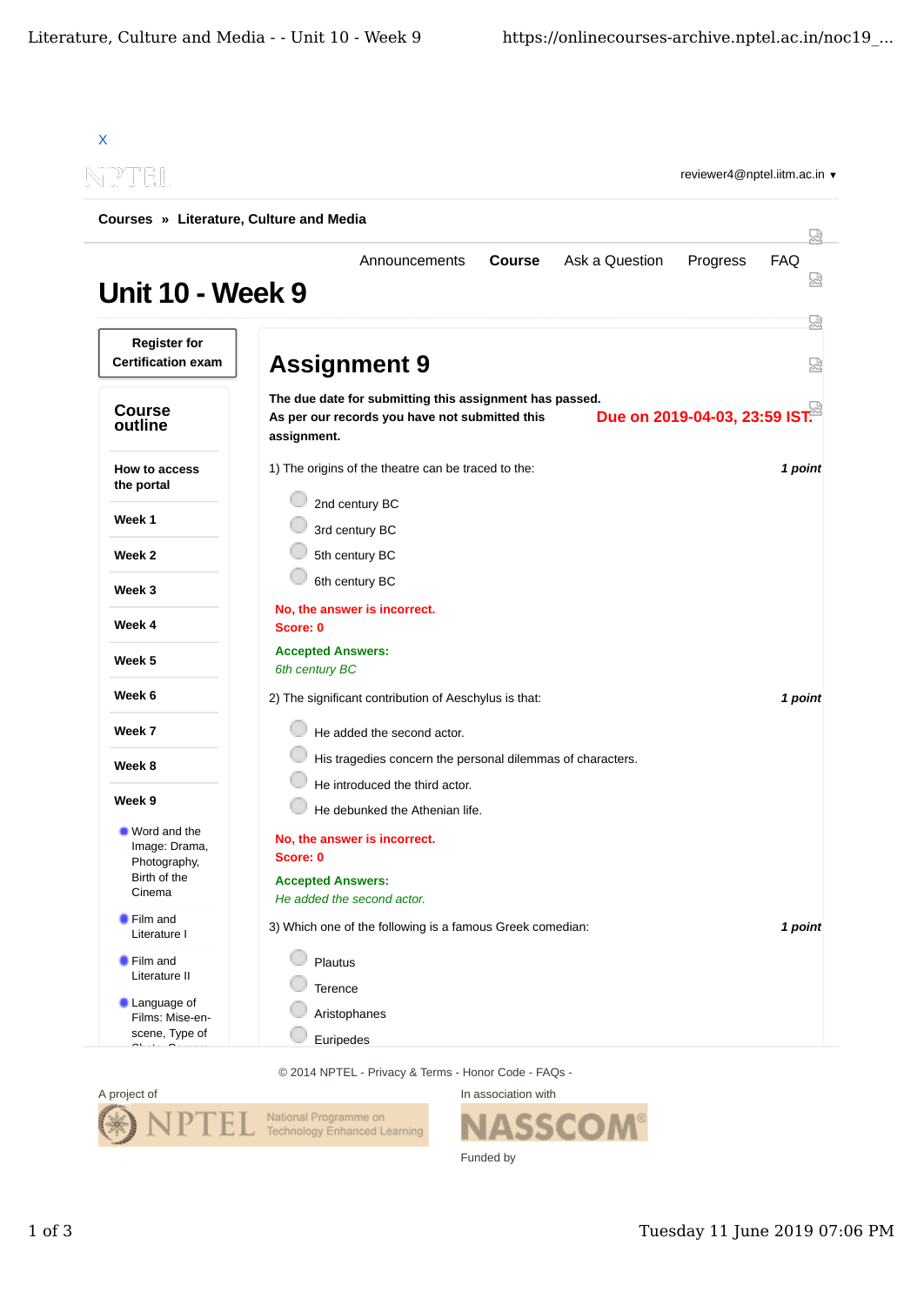| li Billi                                                                  | reviewer4@nptel.iitm.ac.in ▼                                                                                                                              |               |
|---------------------------------------------------------------------------|-----------------------------------------------------------------------------------------------------------------------------------------------------------|---------------|
| Courses » Literature, Culture and Media                                   |                                                                                                                                                           |               |
| <b>Unit 10 - Week 9</b>                                                   | <b>Course</b><br>Ask a Question<br>Progress<br>Announcements                                                                                              | 닜<br>FAQ<br>썮 |
| <b>Register for</b><br><b>Certification exam</b>                          | <b>Assignment 9</b>                                                                                                                                       | 났<br>疏        |
| <b>Course</b><br>outline                                                  | The due date for submitting this assignment has passed.<br>Due on 2019-04-03, 23:59 IST.<br>As per our records you have not submitted this<br>assignment. |               |
| How to access<br>the portal                                               | 1) The origins of the theatre can be traced to the:                                                                                                       | 1 point       |
| Week 1                                                                    | 2nd century BC<br>3rd century BC                                                                                                                          |               |
| Week 2                                                                    | 5th century BC                                                                                                                                            |               |
| Week 3                                                                    | 6th century BC                                                                                                                                            |               |
| Week 4                                                                    | No, the answer is incorrect.<br>Score: 0                                                                                                                  |               |
| Week 5                                                                    | <b>Accepted Answers:</b><br>6th century BC                                                                                                                |               |
| Week 6                                                                    | 2) The significant contribution of Aeschylus is that:                                                                                                     | 1 point       |
| Week 7                                                                    | He added the second actor.                                                                                                                                |               |
| Week 8                                                                    | His tragedies concern the personal dilemmas of characters.                                                                                                |               |
| Week 9                                                                    | He introduced the third actor.<br>He debunked the Athenian life.                                                                                          |               |
| ■ Word and the<br>Image: Drama,<br>Photography,<br>Birth of the<br>Cinema | No, the answer is incorrect.<br>Score: 0<br><b>Accepted Answers:</b><br>He added the second actor.                                                        |               |
| <b>Film and</b><br>Literature I                                           | 3) Which one of the following is a famous Greek comedian:                                                                                                 | 1 point       |
| <b>Film and</b><br>Literature II                                          | Plautus                                                                                                                                                   |               |
| <b>Language of</b><br>Films: Mise-en-                                     | Terence<br>Aristophanes                                                                                                                                   |               |
| scene, Type of<br>$\sim$ $\sim$                                           | Euripedes                                                                                                                                                 |               |

© 2014 NPTEL - Privacy & Terms - Honor Code - FAQs -



In association with **SSCOM®** Funded by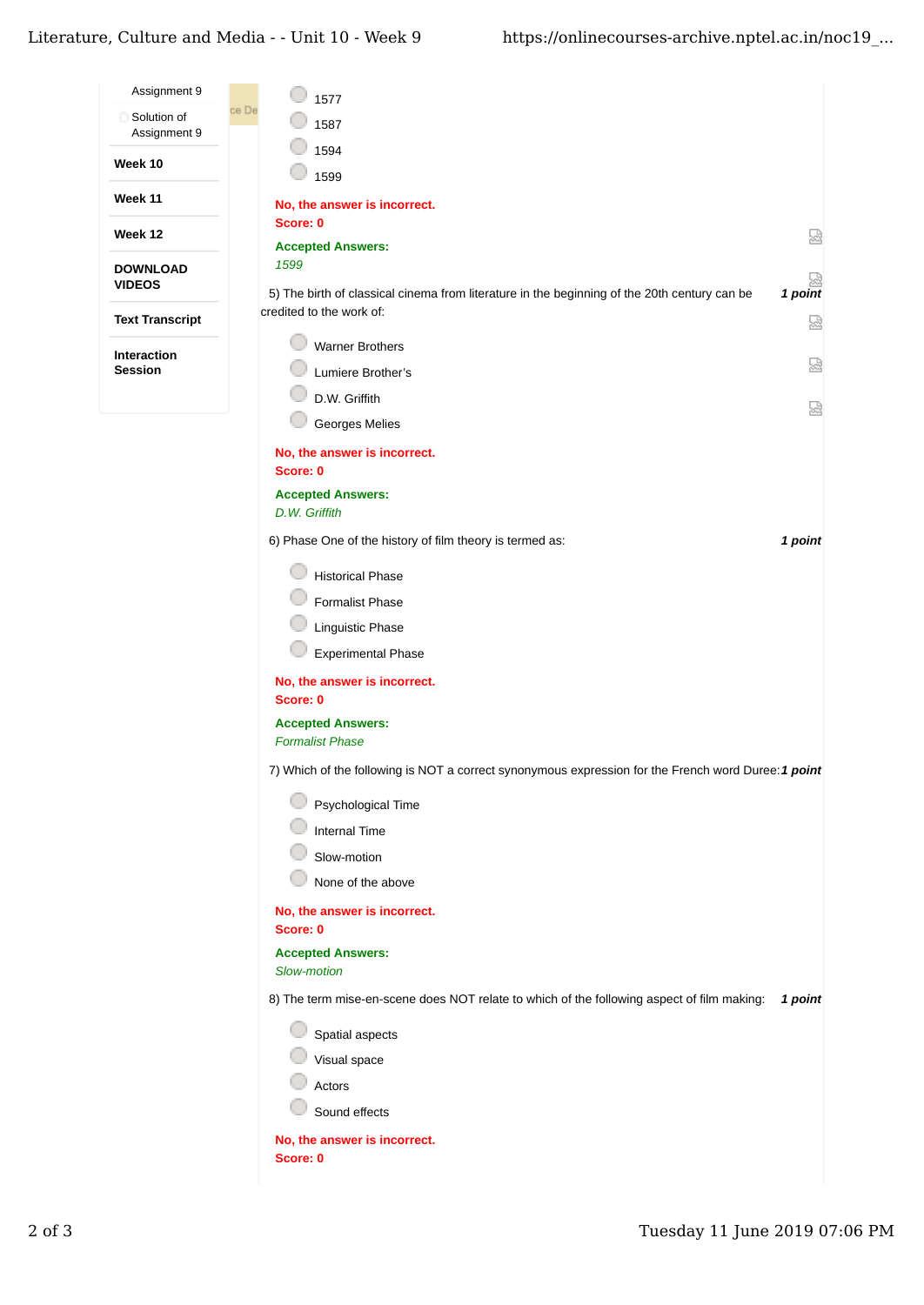